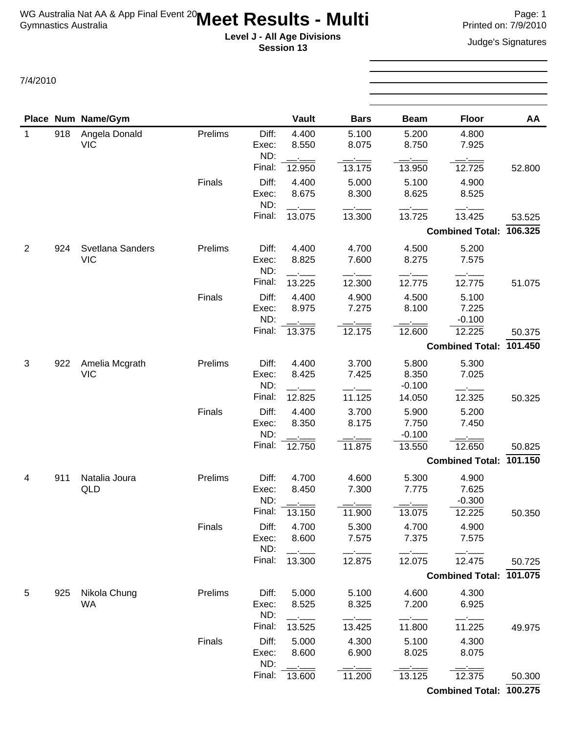## **Level J - All Age Divisions**<br> **Level J - All Age Divisions**<br> **Secology 13 Session 13**

7/4/2010

| Place Num Name/Gym<br><b>Vault</b><br><b>Floor</b><br><b>Bars</b><br><b>Beam</b><br>918<br>Angela Donald<br>Prelims<br>Diff:<br>4.400<br>5.100<br>5.200<br>4.800<br>$\mathbf{1}$<br>8.550<br>8.075<br>8.750<br><b>VIC</b><br>7.925<br>Exec:<br>ND:<br>Final:<br>13.175<br>12.725<br>12.950<br>13.950<br>52.800<br>Finals<br>Diff:<br>5.000<br>4.400<br>5.100<br>4.900<br>8.675<br>8.300<br>8.625<br>8.525<br>Exec:<br>ND:<br>Final:<br>13.075<br>13.300<br>13.725<br>13.425<br>53.525<br><b>Combined Total:</b><br>$\overline{2}$<br>Svetlana Sanders<br>Prelims<br>Diff:<br>4.400<br>4.500<br>5.200<br>924<br>4.700<br><b>VIC</b><br>8.825<br>7.600<br>8.275<br>7.575<br>Exec:<br>ND:<br>Final:<br>12.775<br>13.225<br>12.300<br>12.775<br>Diff:<br>4.500<br>Finals<br>4.400<br>4.900<br>5.100<br>8.975<br>7.275<br>8.100<br>7.225<br>Exec:<br>ND:<br>$-0.100$<br>Final:<br>12.175<br>12.225<br>13.375<br>12.600<br>50.375<br>101.450<br><b>Combined Total:</b><br>Amelia Mcgrath<br>Prelims<br>Diff:<br>4.400<br>3.700<br>5.800<br>5.300<br>3<br>922<br><b>VIC</b><br>8.425<br>7.425<br>7.025<br>Exec:<br>8.350<br>ND:<br>$-0.100$<br>Final:<br>12.825<br>11.125<br>14.050<br>12.325<br>50.325<br>Diff:<br>Finals<br>4.400<br>3.700<br>5.900<br>5.200<br>8.175<br>7.750<br>8.350<br>7.450<br>Exec:<br>ND:<br>$-0.100$<br>Final:<br>11.875<br>12.650<br>13.550<br>12.750<br><b>Combined Total:</b><br>Prelims<br>Natalia Joura<br>Diff:<br>4.700<br>4.600<br>5.300<br>911<br>4.900<br>4<br>7.300<br>7.775<br>7.625<br>QLD<br>Exec:<br>8.450<br>ND:<br>$-0.300$<br>Final:<br>12.225<br>13.150<br>11.900<br>13.075<br>Finals<br>Diff:<br>4.700<br>4.700<br>4.900<br>5.300<br>8.600<br>7.575<br>7.375<br>7.575<br>Exec:<br>ND:<br>Final:<br>13.300<br>12.875<br>12.075<br>12.475<br>Combined Total: 101.075<br>Nikola Chung<br>4.300<br>5<br>925<br>Prelims<br>Diff:<br>5.000<br>5.100<br>4.600<br>8.525<br>WA<br>8.325<br>7.200<br>6.925<br>Exec:<br>ND:<br>Final:<br>13.425<br>11.800<br>13.525<br>11.225 |  |  |        |       |       |       |       |       |         |
|-----------------------------------------------------------------------------------------------------------------------------------------------------------------------------------------------------------------------------------------------------------------------------------------------------------------------------------------------------------------------------------------------------------------------------------------------------------------------------------------------------------------------------------------------------------------------------------------------------------------------------------------------------------------------------------------------------------------------------------------------------------------------------------------------------------------------------------------------------------------------------------------------------------------------------------------------------------------------------------------------------------------------------------------------------------------------------------------------------------------------------------------------------------------------------------------------------------------------------------------------------------------------------------------------------------------------------------------------------------------------------------------------------------------------------------------------------------------------------------------------------------------------------------------------------------------------------------------------------------------------------------------------------------------------------------------------------------------------------------------------------------------------------------------------------------------------------------------------------------------------------------------------------------------------------------------------------------------------------------------------------------|--|--|--------|-------|-------|-------|-------|-------|---------|
|                                                                                                                                                                                                                                                                                                                                                                                                                                                                                                                                                                                                                                                                                                                                                                                                                                                                                                                                                                                                                                                                                                                                                                                                                                                                                                                                                                                                                                                                                                                                                                                                                                                                                                                                                                                                                                                                                                                                                                                                           |  |  |        |       |       |       |       |       | AA      |
|                                                                                                                                                                                                                                                                                                                                                                                                                                                                                                                                                                                                                                                                                                                                                                                                                                                                                                                                                                                                                                                                                                                                                                                                                                                                                                                                                                                                                                                                                                                                                                                                                                                                                                                                                                                                                                                                                                                                                                                                           |  |  |        |       |       |       |       |       |         |
|                                                                                                                                                                                                                                                                                                                                                                                                                                                                                                                                                                                                                                                                                                                                                                                                                                                                                                                                                                                                                                                                                                                                                                                                                                                                                                                                                                                                                                                                                                                                                                                                                                                                                                                                                                                                                                                                                                                                                                                                           |  |  |        |       |       |       |       |       |         |
|                                                                                                                                                                                                                                                                                                                                                                                                                                                                                                                                                                                                                                                                                                                                                                                                                                                                                                                                                                                                                                                                                                                                                                                                                                                                                                                                                                                                                                                                                                                                                                                                                                                                                                                                                                                                                                                                                                                                                                                                           |  |  |        |       |       |       |       |       |         |
|                                                                                                                                                                                                                                                                                                                                                                                                                                                                                                                                                                                                                                                                                                                                                                                                                                                                                                                                                                                                                                                                                                                                                                                                                                                                                                                                                                                                                                                                                                                                                                                                                                                                                                                                                                                                                                                                                                                                                                                                           |  |  |        |       |       |       |       |       |         |
|                                                                                                                                                                                                                                                                                                                                                                                                                                                                                                                                                                                                                                                                                                                                                                                                                                                                                                                                                                                                                                                                                                                                                                                                                                                                                                                                                                                                                                                                                                                                                                                                                                                                                                                                                                                                                                                                                                                                                                                                           |  |  |        |       |       |       |       |       |         |
|                                                                                                                                                                                                                                                                                                                                                                                                                                                                                                                                                                                                                                                                                                                                                                                                                                                                                                                                                                                                                                                                                                                                                                                                                                                                                                                                                                                                                                                                                                                                                                                                                                                                                                                                                                                                                                                                                                                                                                                                           |  |  |        |       |       |       |       |       |         |
|                                                                                                                                                                                                                                                                                                                                                                                                                                                                                                                                                                                                                                                                                                                                                                                                                                                                                                                                                                                                                                                                                                                                                                                                                                                                                                                                                                                                                                                                                                                                                                                                                                                                                                                                                                                                                                                                                                                                                                                                           |  |  |        |       |       |       |       |       | 106.325 |
|                                                                                                                                                                                                                                                                                                                                                                                                                                                                                                                                                                                                                                                                                                                                                                                                                                                                                                                                                                                                                                                                                                                                                                                                                                                                                                                                                                                                                                                                                                                                                                                                                                                                                                                                                                                                                                                                                                                                                                                                           |  |  |        |       |       |       |       |       |         |
|                                                                                                                                                                                                                                                                                                                                                                                                                                                                                                                                                                                                                                                                                                                                                                                                                                                                                                                                                                                                                                                                                                                                                                                                                                                                                                                                                                                                                                                                                                                                                                                                                                                                                                                                                                                                                                                                                                                                                                                                           |  |  |        |       |       |       |       |       |         |
|                                                                                                                                                                                                                                                                                                                                                                                                                                                                                                                                                                                                                                                                                                                                                                                                                                                                                                                                                                                                                                                                                                                                                                                                                                                                                                                                                                                                                                                                                                                                                                                                                                                                                                                                                                                                                                                                                                                                                                                                           |  |  |        |       |       |       |       |       |         |
|                                                                                                                                                                                                                                                                                                                                                                                                                                                                                                                                                                                                                                                                                                                                                                                                                                                                                                                                                                                                                                                                                                                                                                                                                                                                                                                                                                                                                                                                                                                                                                                                                                                                                                                                                                                                                                                                                                                                                                                                           |  |  |        |       |       |       |       |       | 51.075  |
|                                                                                                                                                                                                                                                                                                                                                                                                                                                                                                                                                                                                                                                                                                                                                                                                                                                                                                                                                                                                                                                                                                                                                                                                                                                                                                                                                                                                                                                                                                                                                                                                                                                                                                                                                                                                                                                                                                                                                                                                           |  |  |        |       |       |       |       |       |         |
|                                                                                                                                                                                                                                                                                                                                                                                                                                                                                                                                                                                                                                                                                                                                                                                                                                                                                                                                                                                                                                                                                                                                                                                                                                                                                                                                                                                                                                                                                                                                                                                                                                                                                                                                                                                                                                                                                                                                                                                                           |  |  |        |       |       |       |       |       |         |
|                                                                                                                                                                                                                                                                                                                                                                                                                                                                                                                                                                                                                                                                                                                                                                                                                                                                                                                                                                                                                                                                                                                                                                                                                                                                                                                                                                                                                                                                                                                                                                                                                                                                                                                                                                                                                                                                                                                                                                                                           |  |  |        |       |       |       |       |       |         |
|                                                                                                                                                                                                                                                                                                                                                                                                                                                                                                                                                                                                                                                                                                                                                                                                                                                                                                                                                                                                                                                                                                                                                                                                                                                                                                                                                                                                                                                                                                                                                                                                                                                                                                                                                                                                                                                                                                                                                                                                           |  |  |        |       |       |       |       |       |         |
|                                                                                                                                                                                                                                                                                                                                                                                                                                                                                                                                                                                                                                                                                                                                                                                                                                                                                                                                                                                                                                                                                                                                                                                                                                                                                                                                                                                                                                                                                                                                                                                                                                                                                                                                                                                                                                                                                                                                                                                                           |  |  |        |       |       |       |       |       |         |
|                                                                                                                                                                                                                                                                                                                                                                                                                                                                                                                                                                                                                                                                                                                                                                                                                                                                                                                                                                                                                                                                                                                                                                                                                                                                                                                                                                                                                                                                                                                                                                                                                                                                                                                                                                                                                                                                                                                                                                                                           |  |  |        |       |       |       |       |       |         |
|                                                                                                                                                                                                                                                                                                                                                                                                                                                                                                                                                                                                                                                                                                                                                                                                                                                                                                                                                                                                                                                                                                                                                                                                                                                                                                                                                                                                                                                                                                                                                                                                                                                                                                                                                                                                                                                                                                                                                                                                           |  |  |        |       |       |       |       |       |         |
|                                                                                                                                                                                                                                                                                                                                                                                                                                                                                                                                                                                                                                                                                                                                                                                                                                                                                                                                                                                                                                                                                                                                                                                                                                                                                                                                                                                                                                                                                                                                                                                                                                                                                                                                                                                                                                                                                                                                                                                                           |  |  |        |       |       |       |       |       |         |
|                                                                                                                                                                                                                                                                                                                                                                                                                                                                                                                                                                                                                                                                                                                                                                                                                                                                                                                                                                                                                                                                                                                                                                                                                                                                                                                                                                                                                                                                                                                                                                                                                                                                                                                                                                                                                                                                                                                                                                                                           |  |  |        |       |       |       |       |       |         |
|                                                                                                                                                                                                                                                                                                                                                                                                                                                                                                                                                                                                                                                                                                                                                                                                                                                                                                                                                                                                                                                                                                                                                                                                                                                                                                                                                                                                                                                                                                                                                                                                                                                                                                                                                                                                                                                                                                                                                                                                           |  |  |        |       |       |       |       |       |         |
|                                                                                                                                                                                                                                                                                                                                                                                                                                                                                                                                                                                                                                                                                                                                                                                                                                                                                                                                                                                                                                                                                                                                                                                                                                                                                                                                                                                                                                                                                                                                                                                                                                                                                                                                                                                                                                                                                                                                                                                                           |  |  |        |       |       |       |       |       |         |
|                                                                                                                                                                                                                                                                                                                                                                                                                                                                                                                                                                                                                                                                                                                                                                                                                                                                                                                                                                                                                                                                                                                                                                                                                                                                                                                                                                                                                                                                                                                                                                                                                                                                                                                                                                                                                                                                                                                                                                                                           |  |  |        |       |       |       |       |       | 50.825  |
|                                                                                                                                                                                                                                                                                                                                                                                                                                                                                                                                                                                                                                                                                                                                                                                                                                                                                                                                                                                                                                                                                                                                                                                                                                                                                                                                                                                                                                                                                                                                                                                                                                                                                                                                                                                                                                                                                                                                                                                                           |  |  |        |       |       |       |       |       | 101.150 |
|                                                                                                                                                                                                                                                                                                                                                                                                                                                                                                                                                                                                                                                                                                                                                                                                                                                                                                                                                                                                                                                                                                                                                                                                                                                                                                                                                                                                                                                                                                                                                                                                                                                                                                                                                                                                                                                                                                                                                                                                           |  |  |        |       |       |       |       |       |         |
|                                                                                                                                                                                                                                                                                                                                                                                                                                                                                                                                                                                                                                                                                                                                                                                                                                                                                                                                                                                                                                                                                                                                                                                                                                                                                                                                                                                                                                                                                                                                                                                                                                                                                                                                                                                                                                                                                                                                                                                                           |  |  |        |       |       |       |       |       |         |
|                                                                                                                                                                                                                                                                                                                                                                                                                                                                                                                                                                                                                                                                                                                                                                                                                                                                                                                                                                                                                                                                                                                                                                                                                                                                                                                                                                                                                                                                                                                                                                                                                                                                                                                                                                                                                                                                                                                                                                                                           |  |  |        |       |       |       |       |       |         |
|                                                                                                                                                                                                                                                                                                                                                                                                                                                                                                                                                                                                                                                                                                                                                                                                                                                                                                                                                                                                                                                                                                                                                                                                                                                                                                                                                                                                                                                                                                                                                                                                                                                                                                                                                                                                                                                                                                                                                                                                           |  |  |        |       |       |       |       |       | 50.350  |
|                                                                                                                                                                                                                                                                                                                                                                                                                                                                                                                                                                                                                                                                                                                                                                                                                                                                                                                                                                                                                                                                                                                                                                                                                                                                                                                                                                                                                                                                                                                                                                                                                                                                                                                                                                                                                                                                                                                                                                                                           |  |  |        |       |       |       |       |       |         |
|                                                                                                                                                                                                                                                                                                                                                                                                                                                                                                                                                                                                                                                                                                                                                                                                                                                                                                                                                                                                                                                                                                                                                                                                                                                                                                                                                                                                                                                                                                                                                                                                                                                                                                                                                                                                                                                                                                                                                                                                           |  |  |        |       |       |       |       |       |         |
|                                                                                                                                                                                                                                                                                                                                                                                                                                                                                                                                                                                                                                                                                                                                                                                                                                                                                                                                                                                                                                                                                                                                                                                                                                                                                                                                                                                                                                                                                                                                                                                                                                                                                                                                                                                                                                                                                                                                                                                                           |  |  |        |       |       |       |       |       | 50.725  |
|                                                                                                                                                                                                                                                                                                                                                                                                                                                                                                                                                                                                                                                                                                                                                                                                                                                                                                                                                                                                                                                                                                                                                                                                                                                                                                                                                                                                                                                                                                                                                                                                                                                                                                                                                                                                                                                                                                                                                                                                           |  |  |        |       |       |       |       |       |         |
|                                                                                                                                                                                                                                                                                                                                                                                                                                                                                                                                                                                                                                                                                                                                                                                                                                                                                                                                                                                                                                                                                                                                                                                                                                                                                                                                                                                                                                                                                                                                                                                                                                                                                                                                                                                                                                                                                                                                                                                                           |  |  |        |       |       |       |       |       |         |
|                                                                                                                                                                                                                                                                                                                                                                                                                                                                                                                                                                                                                                                                                                                                                                                                                                                                                                                                                                                                                                                                                                                                                                                                                                                                                                                                                                                                                                                                                                                                                                                                                                                                                                                                                                                                                                                                                                                                                                                                           |  |  |        |       |       |       |       |       |         |
|                                                                                                                                                                                                                                                                                                                                                                                                                                                                                                                                                                                                                                                                                                                                                                                                                                                                                                                                                                                                                                                                                                                                                                                                                                                                                                                                                                                                                                                                                                                                                                                                                                                                                                                                                                                                                                                                                                                                                                                                           |  |  |        |       |       |       |       |       |         |
|                                                                                                                                                                                                                                                                                                                                                                                                                                                                                                                                                                                                                                                                                                                                                                                                                                                                                                                                                                                                                                                                                                                                                                                                                                                                                                                                                                                                                                                                                                                                                                                                                                                                                                                                                                                                                                                                                                                                                                                                           |  |  |        |       |       |       |       |       | 49.975  |
|                                                                                                                                                                                                                                                                                                                                                                                                                                                                                                                                                                                                                                                                                                                                                                                                                                                                                                                                                                                                                                                                                                                                                                                                                                                                                                                                                                                                                                                                                                                                                                                                                                                                                                                                                                                                                                                                                                                                                                                                           |  |  | Finals | Diff: | 5.000 | 4.300 | 5.100 | 4.300 |         |
| 6.900<br>8.600<br>8.025<br>8.075<br>Exec:                                                                                                                                                                                                                                                                                                                                                                                                                                                                                                                                                                                                                                                                                                                                                                                                                                                                                                                                                                                                                                                                                                                                                                                                                                                                                                                                                                                                                                                                                                                                                                                                                                                                                                                                                                                                                                                                                                                                                                 |  |  |        |       |       |       |       |       |         |
| ND:<br>Final:<br>11.200<br>12.375<br>13.600<br>13.125                                                                                                                                                                                                                                                                                                                                                                                                                                                                                                                                                                                                                                                                                                                                                                                                                                                                                                                                                                                                                                                                                                                                                                                                                                                                                                                                                                                                                                                                                                                                                                                                                                                                                                                                                                                                                                                                                                                                                     |  |  |        |       |       |       |       |       | 50.300  |
| Combined Total: 100.275                                                                                                                                                                                                                                                                                                                                                                                                                                                                                                                                                                                                                                                                                                                                                                                                                                                                                                                                                                                                                                                                                                                                                                                                                                                                                                                                                                                                                                                                                                                                                                                                                                                                                                                                                                                                                                                                                                                                                                                   |  |  |        |       |       |       |       |       |         |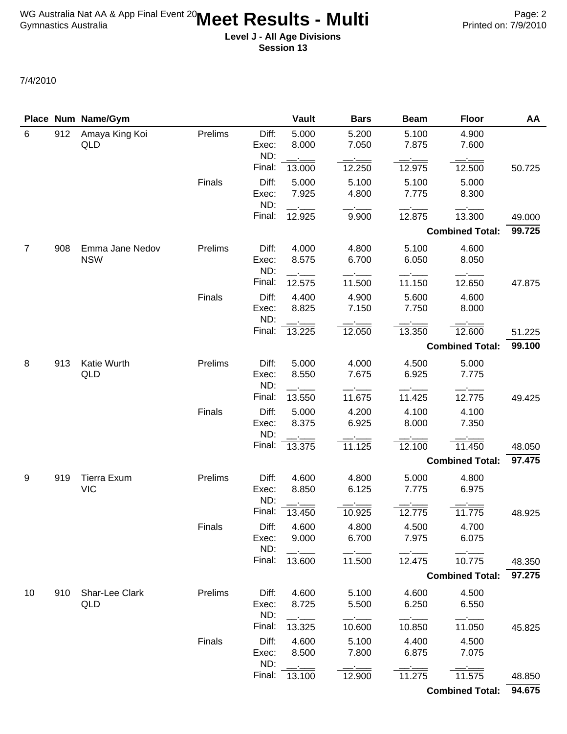**Level J - All Age Divisions Session 13**

7/4/2010

|                |     | Place Num Name/Gym               |         |                       | <b>Vault</b>   | <b>Bars</b>    | <b>Beam</b>    | <b>Floor</b>           | AA     |
|----------------|-----|----------------------------------|---------|-----------------------|----------------|----------------|----------------|------------------------|--------|
| 6              | 912 | Amaya King Koi<br>QLD            | Prelims | Diff:<br>Exec:<br>ND: | 5.000<br>8.000 | 5.200<br>7.050 | 5.100<br>7.875 | 4.900<br>7.600         |        |
|                |     |                                  |         | Final:                | 13.000         | 12.250         | 12.975         | 12.500                 | 50.725 |
|                |     |                                  | Finals  | Diff:<br>Exec:<br>ND: | 5.000<br>7.925 | 5.100<br>4.800 | 5.100<br>7.775 | 5.000<br>8.300         |        |
|                |     |                                  |         | Final:                | 12.925         | 9.900          | 12.875         | 13.300                 | 49.000 |
|                |     |                                  |         |                       |                |                |                | <b>Combined Total:</b> | 99.725 |
| $\overline{7}$ | 908 | Emma Jane Nedov                  | Prelims | Diff:                 | 4.000          | 4.800          | 5.100          | 4.600                  |        |
|                |     | <b>NSW</b>                       |         | Exec:<br>ND:          | 8.575          | 6.700          | 6.050          | 8.050                  |        |
|                |     |                                  |         | Final:                | 12.575         | 11.500         | 11.150         | 12.650                 | 47.875 |
|                |     |                                  | Finals  | Diff:<br>Exec:<br>ND: | 4.400<br>8.825 | 4.900<br>7.150 | 5.600<br>7.750 | 4.600<br>8.000         |        |
|                |     |                                  |         | Final:                | 13.225         | 12.050         | 13.350         | 12.600                 | 51.225 |
|                |     |                                  |         |                       |                |                |                | <b>Combined Total:</b> | 99.100 |
| 8              | 913 | Katie Wurth<br><b>QLD</b>        | Prelims | Diff:<br>Exec:<br>ND: | 5.000<br>8.550 | 4.000<br>7.675 | 4.500<br>6.925 | 5.000<br>7.775         |        |
|                |     |                                  |         | Final:                | 13.550         | 11.675         | 11.425         | 12.775                 | 49.425 |
|                |     |                                  | Finals  | Diff:<br>Exec:        | 5.000<br>8.375 | 4.200<br>6.925 | 4.100<br>8.000 | 4.100<br>7.350         |        |
|                |     |                                  |         | ND:<br>Final:         | 13.375         | 11.125         | 12.100         | 11.450                 | 48.050 |
|                |     |                                  |         |                       |                |                |                | <b>Combined Total:</b> | 97.475 |
| 9              | 919 | <b>Tierra Exum</b><br><b>VIC</b> | Prelims | Diff:<br>Exec:<br>ND: | 4.600<br>8.850 | 4.800<br>6.125 | 5.000<br>7.775 | 4.800<br>6.975         |        |
|                |     |                                  |         | Final:                | 13.450         | 10.925         | 12.775         | 11.775                 | 48.925 |
|                |     |                                  | Finals  | Diff:<br>Exec:<br>ND: | 4.600<br>9.000 | 4.800<br>6.700 | 4.500<br>7.975 | 4.700<br>6.075         |        |
|                |     |                                  |         | Final:                | 13.600         | 11.500         | 12.475         | 10.775                 | 48.350 |
|                |     |                                  |         |                       |                |                |                | <b>Combined Total:</b> | 97.275 |
| 10             | 910 | Shar-Lee Clark                   | Prelims | Diff:                 | 4.600          | 5.100          | 4.600          | 4.500                  |        |
|                |     | QLD                              |         | Exec:<br>ND:          | 8.725          | 5.500          | 6.250          | 6.550                  |        |
|                |     |                                  |         | Final:                | 13.325         | 10.600         | 10.850         | 11.050                 | 45.825 |
|                |     |                                  | Finals  | Diff:<br>Exec:<br>ND: | 4.600<br>8.500 | 5.100<br>7.800 | 4.400<br>6.875 | 4.500<br>7.075         |        |
|                |     |                                  |         | Final:                | 13.100         | 12.900         | 11.275         | 11.575                 | 48.850 |
|                |     |                                  |         |                       |                |                |                | <b>Combined Total:</b> | 94.675 |